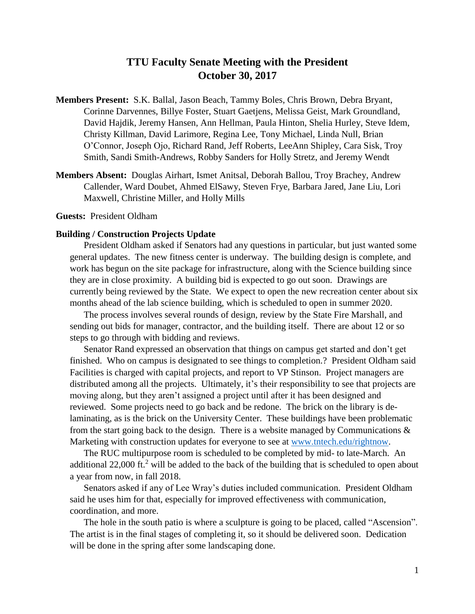# **TTU Faculty Senate Meeting with the President October 30, 2017**

- **Members Present:** S.K. Ballal, Jason Beach, Tammy Boles, Chris Brown, Debra Bryant, Corinne Darvennes, Billye Foster, Stuart Gaetjens, Melissa Geist, Mark Groundland, David Hajdik, Jeremy Hansen, Ann Hellman, Paula Hinton, Shelia Hurley, Steve Idem, Christy Killman, David Larimore, Regina Lee, Tony Michael, Linda Null, Brian O'Connor, Joseph Ojo, Richard Rand, Jeff Roberts, LeeAnn Shipley, Cara Sisk, Troy Smith, Sandi Smith-Andrews, Robby Sanders for Holly Stretz, and Jeremy Wendt
- **Members Absent:** Douglas Airhart, Ismet Anitsal, Deborah Ballou, Troy Brachey, Andrew Callender, Ward Doubet, Ahmed ElSawy, Steven Frye, Barbara Jared, Jane Liu, Lori Maxwell, Christine Miller, and Holly Mills

**Guests:** President Oldham

#### **Building / Construction Projects Update**

President Oldham asked if Senators had any questions in particular, but just wanted some general updates. The new fitness center is underway. The building design is complete, and work has begun on the site package for infrastructure, along with the Science building since they are in close proximity. A building bid is expected to go out soon. Drawings are currently being reviewed by the State. We expect to open the new recreation center about six months ahead of the lab science building, which is scheduled to open in summer 2020.

The process involves several rounds of design, review by the State Fire Marshall, and sending out bids for manager, contractor, and the building itself. There are about 12 or so steps to go through with bidding and reviews.

Senator Rand expressed an observation that things on campus get started and don't get finished. Who on campus is designated to see things to completion.? President Oldham said Facilities is charged with capital projects, and report to VP Stinson. Project managers are distributed among all the projects. Ultimately, it's their responsibility to see that projects are moving along, but they aren't assigned a project until after it has been designed and reviewed. Some projects need to go back and be redone. The brick on the library is delaminating, as is the brick on the University Center. These buildings have been problematic from the start going back to the design. There is a website managed by Communications  $\&$ Marketing with construction updates for everyone to see at [www.tntech.edu/rightnow.](http://www.tntech.edu/rightnow)

The RUC multipurpose room is scheduled to be completed by mid- to late-March. An additional 22,000 ft.<sup>2</sup> will be added to the back of the building that is scheduled to open about a year from now, in fall 2018.

Senators asked if any of Lee Wray's duties included communication. President Oldham said he uses him for that, especially for improved effectiveness with communication, coordination, and more.

The hole in the south patio is where a sculpture is going to be placed, called "Ascension". The artist is in the final stages of completing it, so it should be delivered soon. Dedication will be done in the spring after some landscaping done.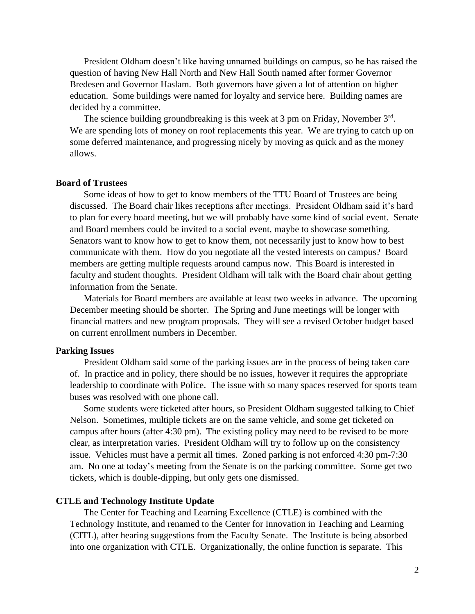President Oldham doesn't like having unnamed buildings on campus, so he has raised the question of having New Hall North and New Hall South named after former Governor Bredesen and Governor Haslam. Both governors have given a lot of attention on higher education. Some buildings were named for loyalty and service here. Building names are decided by a committee.

The science building groundbreaking is this week at 3 pm on Friday, November  $3<sup>rd</sup>$ . We are spending lots of money on roof replacements this year. We are trying to catch up on some deferred maintenance, and progressing nicely by moving as quick and as the money allows.

## **Board of Trustees**

Some ideas of how to get to know members of the TTU Board of Trustees are being discussed. The Board chair likes receptions after meetings. President Oldham said it's hard to plan for every board meeting, but we will probably have some kind of social event. Senate and Board members could be invited to a social event, maybe to showcase something. Senators want to know how to get to know them, not necessarily just to know how to best communicate with them. How do you negotiate all the vested interests on campus? Board members are getting multiple requests around campus now. This Board is interested in faculty and student thoughts. President Oldham will talk with the Board chair about getting information from the Senate.

Materials for Board members are available at least two weeks in advance. The upcoming December meeting should be shorter. The Spring and June meetings will be longer with financial matters and new program proposals. They will see a revised October budget based on current enrollment numbers in December.

#### **Parking Issues**

President Oldham said some of the parking issues are in the process of being taken care of. In practice and in policy, there should be no issues, however it requires the appropriate leadership to coordinate with Police. The issue with so many spaces reserved for sports team buses was resolved with one phone call.

Some students were ticketed after hours, so President Oldham suggested talking to Chief Nelson. Sometimes, multiple tickets are on the same vehicle, and some get ticketed on campus after hours (after 4:30 pm). The existing policy may need to be revised to be more clear, as interpretation varies. President Oldham will try to follow up on the consistency issue. Vehicles must have a permit all times. Zoned parking is not enforced 4:30 pm-7:30 am. No one at today's meeting from the Senate is on the parking committee. Some get two tickets, which is double-dipping, but only gets one dismissed.

#### **CTLE and Technology Institute Update**

The Center for Teaching and Learning Excellence (CTLE) is combined with the Technology Institute, and renamed to the Center for Innovation in Teaching and Learning (CITL), after hearing suggestions from the Faculty Senate. The Institute is being absorbed into one organization with CTLE. Organizationally, the online function is separate. This